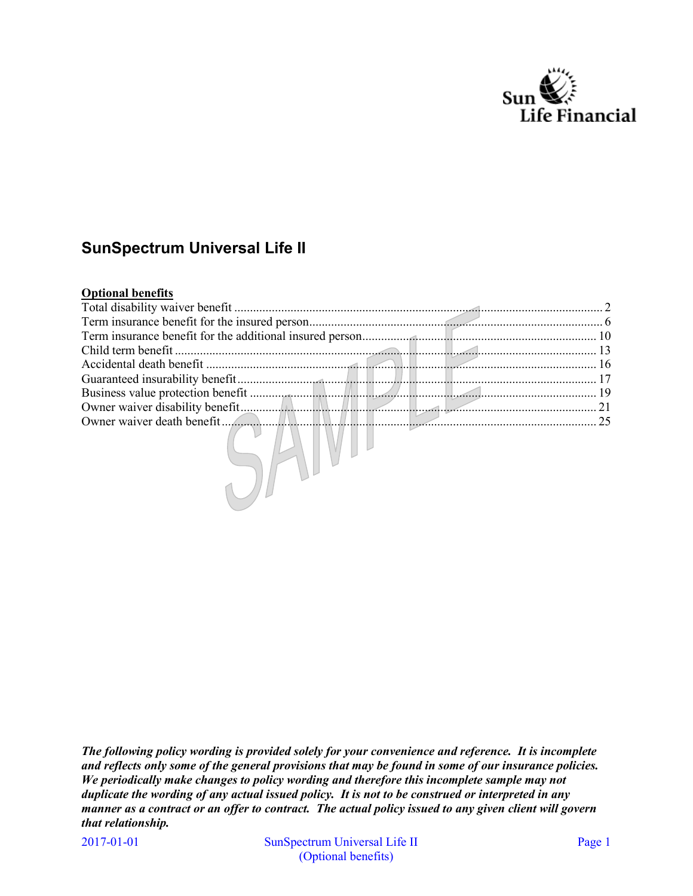

# **SunSpectrum Universal Life II**

# **Optional benefits**

| Total disability waiver benefit |  |  |           |
|---------------------------------|--|--|-----------|
|                                 |  |  |           |
|                                 |  |  |           |
|                                 |  |  |           |
|                                 |  |  | $\sim$ 16 |
|                                 |  |  |           |
|                                 |  |  | 19        |
|                                 |  |  | $\sim$ 21 |
|                                 |  |  | 25        |
|                                 |  |  |           |

*The following policy wording is provided solely for your convenience and reference. It is incomplete and reflects only some of the general provisions that may be found in some of our insurance policies. We periodically make changes to policy wording and therefore this incomplete sample may not duplicate the wording of any actual issued policy. It is not to be construed or interpreted in any manner as a contract or an offer to contract. The actual policy issued to any given client will govern that relationship.*

2017-01-01 SunSpectrum Universal Life II Page 1 (Optional benefits)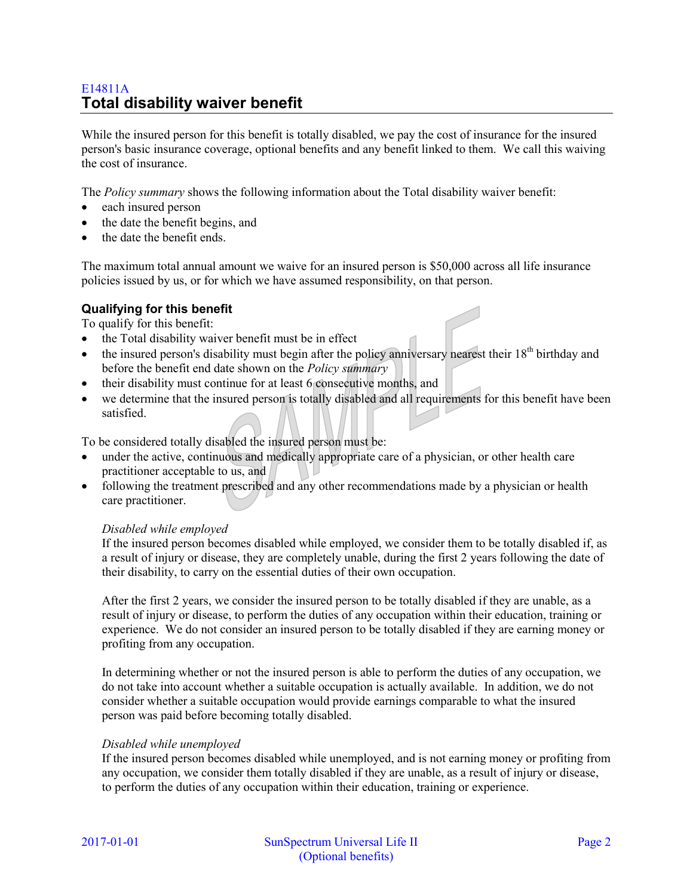# E14811A **Total disability waiver benefit**

While the insured person for this benefit is totally disabled, we pay the cost of insurance for the insured person's basic insurance coverage, optional benefits and any benefit linked to them. We call this waiving the cost of insurance.

The *Policy summary* shows the following information about the Total disability waiver benefit:

- each insured person
- the date the benefit begins, and
- the date the benefit ends.

The maximum total annual amount we waive for an insured person is \$50,000 across all life insurance policies issued by us, or for which we have assumed responsibility, on that person.

### **Qualifying for this benefit**

To qualify for this benefit:

- the Total disability waiver benefit must be in effect
- $\bullet$  the insured person's disability must begin after the policy anniversary nearest their 18<sup>th</sup> birthday and before the benefit end date shown on the *Policy summary*
- their disability must continue for at least 6 consecutive months, and
- we determine that the insured person is totally disabled and all requirements for this benefit have been satisfied.

To be considered totally disabled the insured person must be:

- under the active, continuous and medically appropriate care of a physician, or other health care practitioner acceptable to us, and
- following the treatment prescribed and any other recommendations made by a physician or health care practitioner.

#### *Disabled while employed*

If the insured person becomes disabled while employed, we consider them to be totally disabled if, as a result of injury or disease, they are completely unable, during the first 2 years following the date of their disability, to carry on the essential duties of their own occupation.

After the first 2 years, we consider the insured person to be totally disabled if they are unable, as a result of injury or disease, to perform the duties of any occupation within their education, training or experience. We do not consider an insured person to be totally disabled if they are earning money or profiting from any occupation.

In determining whether or not the insured person is able to perform the duties of any occupation, we do not take into account whether a suitable occupation is actually available. In addition, we do not consider whether a suitable occupation would provide earnings comparable to what the insured person was paid before becoming totally disabled.

#### *Disabled while unemployed*

If the insured person becomes disabled while unemployed, and is not earning money or profiting from any occupation, we consider them totally disabled if they are unable, as a result of injury or disease, to perform the duties of any occupation within their education, training or experience.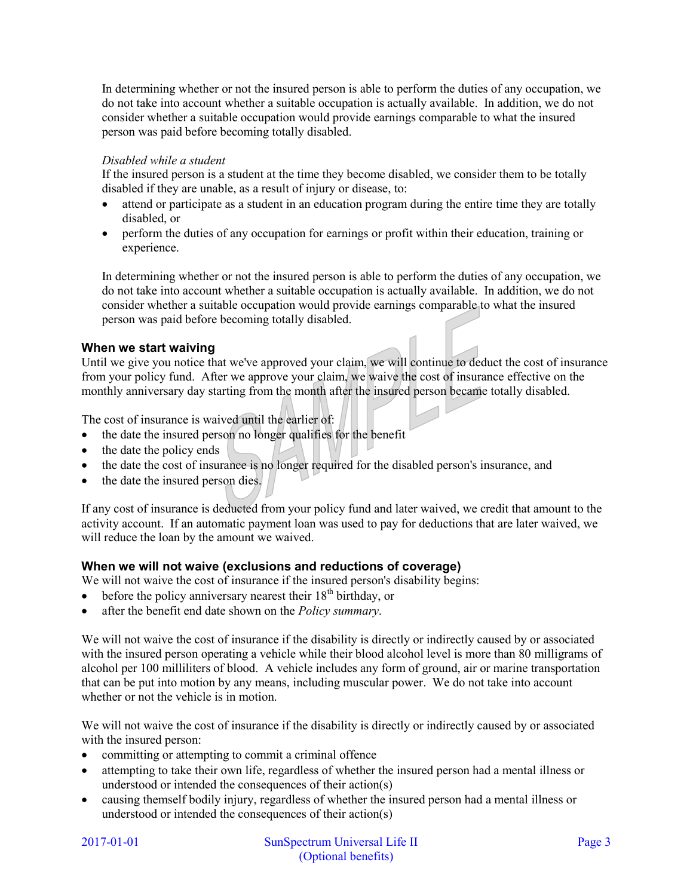In determining whether or not the insured person is able to perform the duties of any occupation, we do not take into account whether a suitable occupation is actually available. In addition, we do not consider whether a suitable occupation would provide earnings comparable to what the insured person was paid before becoming totally disabled.

# *Disabled while a student*

If the insured person is a student at the time they become disabled, we consider them to be totally disabled if they are unable, as a result of injury or disease, to:

- attend or participate as a student in an education program during the entire time they are totally disabled, or
- perform the duties of any occupation for earnings or profit within their education, training or experience.

In determining whether or not the insured person is able to perform the duties of any occupation, we do not take into account whether a suitable occupation is actually available. In addition, we do not consider whether a suitable occupation would provide earnings comparable to what the insured person was paid before becoming totally disabled.

# **When we start waiving**

Until we give you notice that we've approved your claim, we will continue to deduct the cost of insurance from your policy fund. After we approve your claim, we waive the cost of insurance effective on the monthly anniversary day starting from the month after the insured person became totally disabled.

The cost of insurance is waived until the earlier of:

- the date the insured person no longer qualifies for the benefit
- $\bullet$  the date the policy ends
- the date the cost of insurance is no longer required for the disabled person's insurance, and
- the date the insured person dies.

If any cost of insurance is deducted from your policy fund and later waived, we credit that amount to the activity account. If an automatic payment loan was used to pay for deductions that are later waived, we will reduce the loan by the amount we waived.

# **When we will not waive (exclusions and reductions of coverage)**

We will not waive the cost of insurance if the insured person's disability begins:

- $\bullet$  before the policy anniversary nearest their 18<sup>th</sup> birthday, or
- after the benefit end date shown on the *Policy summary*.

We will not waive the cost of insurance if the disability is directly or indirectly caused by or associated with the insured person operating a vehicle while their blood alcohol level is more than 80 milligrams of alcohol per 100 milliliters of blood. A vehicle includes any form of ground, air or marine transportation that can be put into motion by any means, including muscular power. We do not take into account whether or not the vehicle is in motion.

We will not waive the cost of insurance if the disability is directly or indirectly caused by or associated with the insured person:

- committing or attempting to commit a criminal offence
- attempting to take their own life, regardless of whether the insured person had a mental illness or understood or intended the consequences of their action(s)
- causing themself bodily injury, regardless of whether the insured person had a mental illness or understood or intended the consequences of their action(s)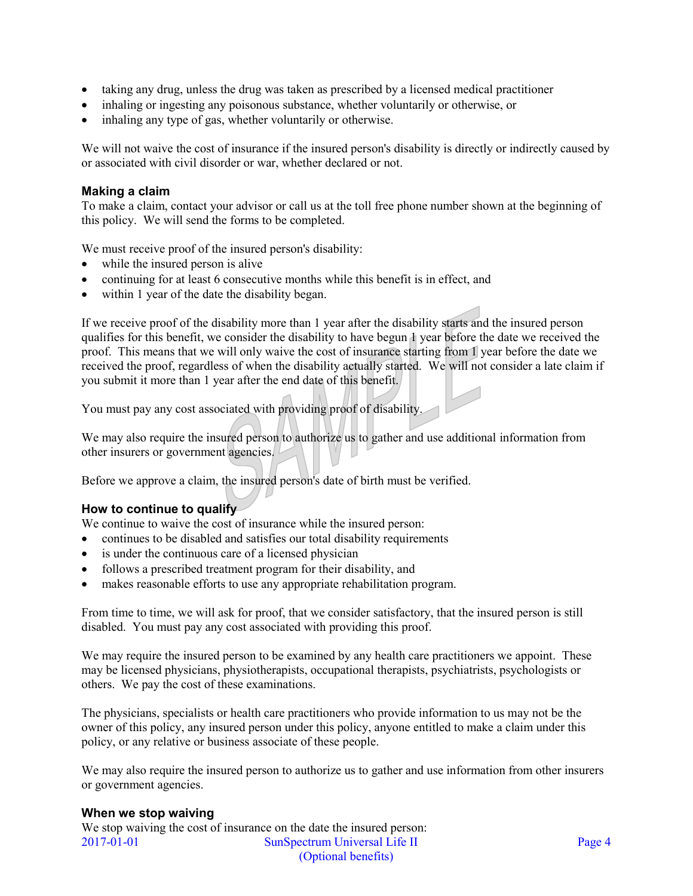- taking any drug, unless the drug was taken as prescribed by a licensed medical practitioner
- inhaling or ingesting any poisonous substance, whether voluntarily or otherwise, or
- inhaling any type of gas, whether voluntarily or otherwise.

We will not waive the cost of insurance if the insured person's disability is directly or indirectly caused by or associated with civil disorder or war, whether declared or not.

### **Making a claim**

To make a claim, contact your advisor or call us at the toll free phone number shown at the beginning of this policy. We will send the forms to be completed.

We must receive proof of the insured person's disability:

- while the insured person is alive
- continuing for at least 6 consecutive months while this benefit is in effect, and
- within 1 year of the date the disability began.

If we receive proof of the disability more than 1 year after the disability starts and the insured person qualifies for this benefit, we consider the disability to have begun 1 year before the date we received the proof. This means that we will only waive the cost of insurance starting from 1 year before the date we received the proof, regardless of when the disability actually started. We will not consider a late claim if you submit it more than 1 year after the end date of this benefit.

You must pay any cost associated with providing proof of disability.

We may also require the insured person to authorize us to gather and use additional information from other insurers or government agencies.

Before we approve a claim, the insured person's date of birth must be verified.

### **How to continue to qualify**

We continue to waive the cost of insurance while the insured person:

- continues to be disabled and satisfies our total disability requirements
- is under the continuous care of a licensed physician
- follows a prescribed treatment program for their disability, and
- makes reasonable efforts to use any appropriate rehabilitation program.

From time to time, we will ask for proof, that we consider satisfactory, that the insured person is still disabled. You must pay any cost associated with providing this proof.

We may require the insured person to be examined by any health care practitioners we appoint. These may be licensed physicians, physiotherapists, occupational therapists, psychiatrists, psychologists or others. We pay the cost of these examinations.

The physicians, specialists or health care practitioners who provide information to us may not be the owner of this policy, any insured person under this policy, anyone entitled to make a claim under this policy, or any relative or business associate of these people.

We may also require the insured person to authorize us to gather and use information from other insurers or government agencies.

#### **When we stop waiving**

2017-01-01 SunSpectrum Universal Life II Page 4 (Optional benefits) We stop waiving the cost of insurance on the date the insured person: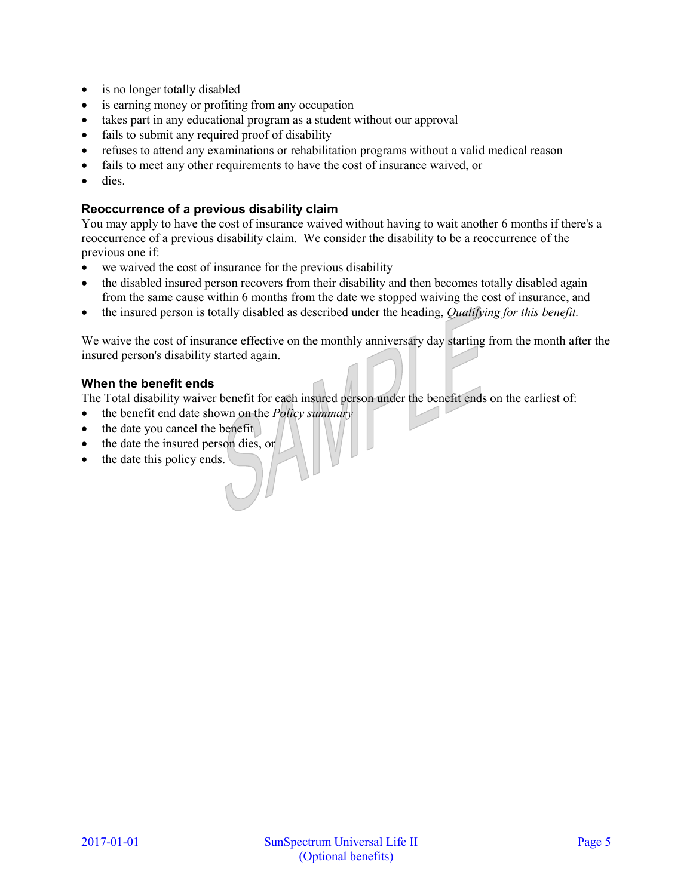- is no longer totally disabled
- is earning money or profiting from any occupation
- takes part in any educational program as a student without our approval
- fails to submit any required proof of disability
- refuses to attend any examinations or rehabilitation programs without a valid medical reason
- fails to meet any other requirements to have the cost of insurance waived, or
- dies.

# **Reoccurrence of a previous disability claim**

You may apply to have the cost of insurance waived without having to wait another 6 months if there's a reoccurrence of a previous disability claim. We consider the disability to be a reoccurrence of the previous one if:

- we waived the cost of insurance for the previous disability
- the disabled insured person recovers from their disability and then becomes totally disabled again from the same cause within 6 months from the date we stopped waiving the cost of insurance, and
- the insured person is totally disabled as described under the heading, *Qualifying for this benefit.*

We waive the cost of insurance effective on the monthly anniversary day starting from the month after the insured person's disability started again.

# **When the benefit ends**

The Total disability waiver benefit for each insured person under the benefit ends on the earliest of:

- the benefit end date shown on the *Policy summary*
- the date you cancel the benefit
- the date the insured person dies, or
- the date this policy ends.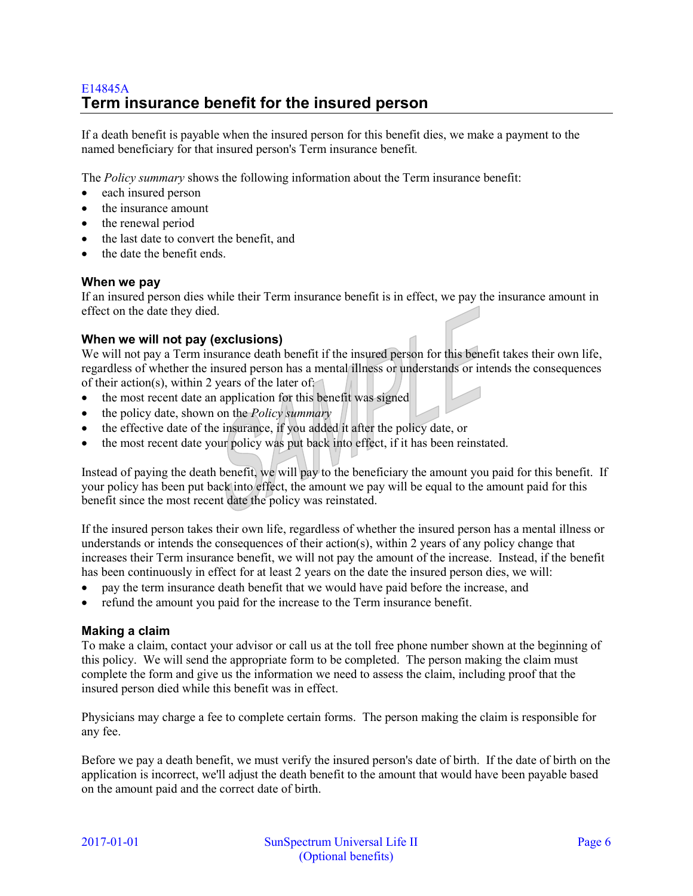# E14845A **Term insurance benefit for the insured person**

If a death benefit is payable when the insured person for this benefit dies, we make a payment to the named beneficiary for that insured person's Term insurance benefit*.*

The *Policy summary* shows the following information about the Term insurance benefit:

- each insured person
- the insurance amount
- the renewal period
- the last date to convert the benefit, and
- the date the benefit ends.

### **When we pay**

If an insured person dies while their Term insurance benefit is in effect, we pay the insurance amount in effect on the date they died.

# **When we will not pay (exclusions)**

We will not pay a Term insurance death benefit if the insured person for this benefit takes their own life, regardless of whether the insured person has a mental illness or understands or intends the consequences of their action(s), within 2 years of the later of:

- the most recent date an application for this benefit was signed
- the policy date, shown on the *Policy summary*
- the effective date of the insurance, if you added it after the policy date, or
- the most recent date your policy was put back into effect, if it has been reinstated.

Instead of paying the death benefit, we will pay to the beneficiary the amount you paid for this benefit. If your policy has been put back into effect, the amount we pay will be equal to the amount paid for this benefit since the most recent date the policy was reinstated.

If the insured person takes their own life, regardless of whether the insured person has a mental illness or understands or intends the consequences of their action(s), within 2 years of any policy change that increases their Term insurance benefit, we will not pay the amount of the increase. Instead, if the benefit has been continuously in effect for at least 2 years on the date the insured person dies, we will:

- pay the term insurance death benefit that we would have paid before the increase, and
- refund the amount you paid for the increase to the Term insurance benefit.

### **Making a claim**

To make a claim, contact your advisor or call us at the toll free phone number shown at the beginning of this policy. We will send the appropriate form to be completed. The person making the claim must complete the form and give us the information we need to assess the claim, including proof that the insured person died while this benefit was in effect.

Physicians may charge a fee to complete certain forms. The person making the claim is responsible for any fee.

Before we pay a death benefit, we must verify the insured person's date of birth. If the date of birth on the application is incorrect, we'll adjust the death benefit to the amount that would have been payable based on the amount paid and the correct date of birth.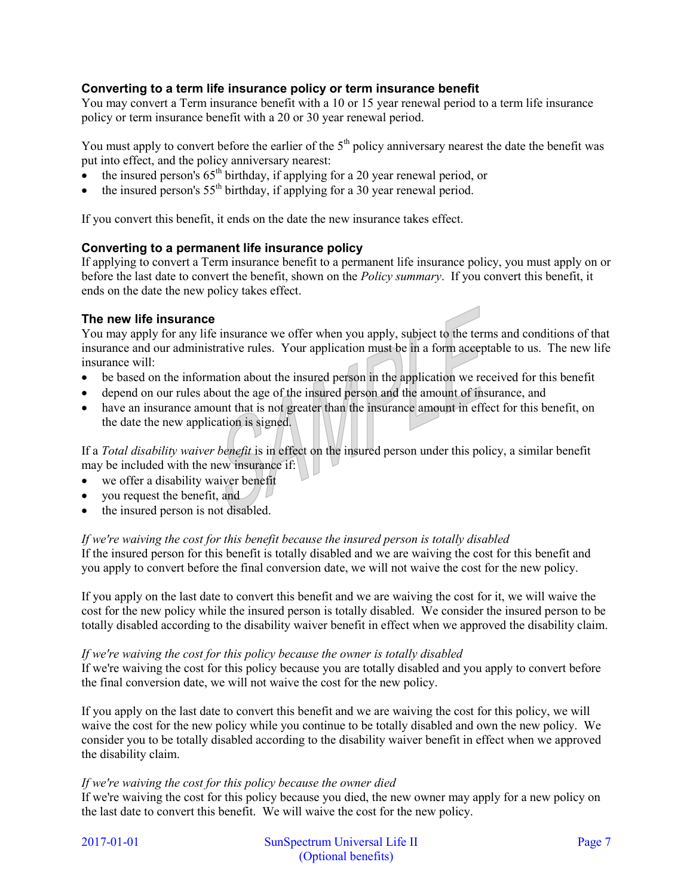# **Converting to a term life insurance policy or term insurance benefit**

You may convert a Term insurance benefit with a 10 or 15 year renewal period to a term life insurance policy or term insurance benefit with a 20 or 30 year renewal period.

You must apply to convert before the earlier of the  $5<sup>th</sup>$  policy anniversary nearest the date the benefit was put into effect, and the policy anniversary nearest:

- the insured person's  $65<sup>th</sup>$  birthday, if applying for a 20 year renewal period, or
- the insured person's  $55<sup>th</sup>$  birthday, if applying for a 30 year renewal period.

If you convert this benefit, it ends on the date the new insurance takes effect.

# **Converting to a permanent life insurance policy**

If applying to convert a Term insurance benefit to a permanent life insurance policy, you must apply on or before the last date to convert the benefit, shown on the *Policy summary*. If you convert this benefit, it ends on the date the new policy takes effect.

# **The new life insurance**

You may apply for any life insurance we offer when you apply, subject to the terms and conditions of that insurance and our administrative rules. Your application must be in a form acceptable to us. The new life insurance will:

- be based on the information about the insured person in the application we received for this benefit
- depend on our rules about the age of the insured person and the amount of insurance, and
- have an insurance amount that is not greater than the insurance amount in effect for this benefit, on the date the new application is signed.

If a *Total disability waiver benefit* is in effect on the insured person under this policy, a similar benefit may be included with the new insurance if:

- we offer a disability waiver benefit
- you request the benefit, and
- the insured person is not disabled.

### *If we're waiving the cost for this benefit because the insured person is totally disabled*

If the insured person for this benefit is totally disabled and we are waiving the cost for this benefit and you apply to convert before the final conversion date, we will not waive the cost for the new policy.

If you apply on the last date to convert this benefit and we are waiving the cost for it, we will waive the cost for the new policy while the insured person is totally disabled. We consider the insured person to be totally disabled according to the disability waiver benefit in effect when we approved the disability claim.

#### *If we're waiving the cost for this policy because the owner is totally disabled*

If we're waiving the cost for this policy because you are totally disabled and you apply to convert before the final conversion date, we will not waive the cost for the new policy.

If you apply on the last date to convert this benefit and we are waiving the cost for this policy, we will waive the cost for the new policy while you continue to be totally disabled and own the new policy. We consider you to be totally disabled according to the disability waiver benefit in effect when we approved the disability claim.

### *If we're waiving the cost for this policy because the owner died*

If we're waiving the cost for this policy because you died, the new owner may apply for a new policy on the last date to convert this benefit. We will waive the cost for the new policy.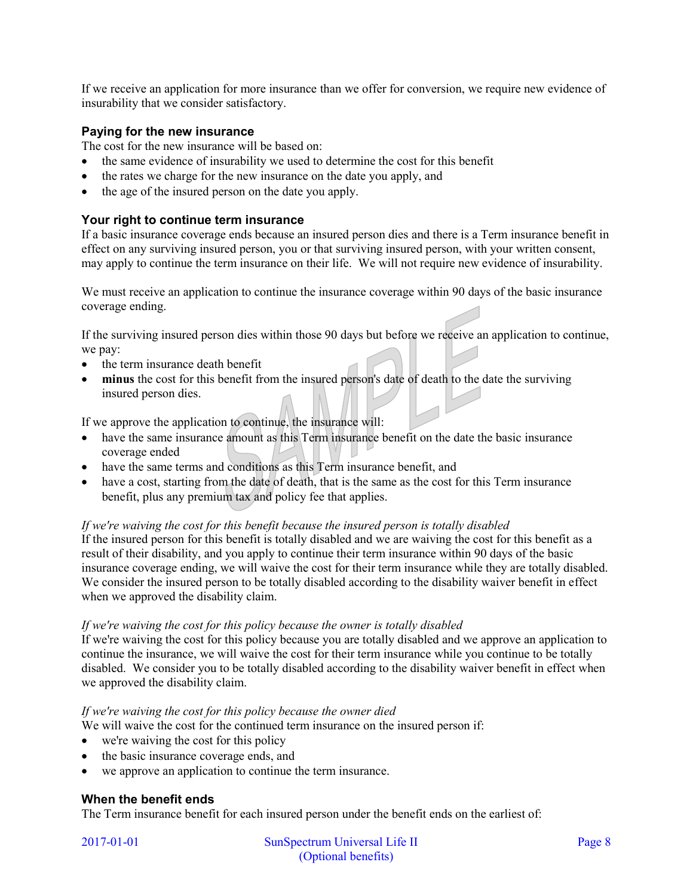If we receive an application for more insurance than we offer for conversion, we require new evidence of insurability that we consider satisfactory.

# **Paying for the new insurance**

The cost for the new insurance will be based on:

- the same evidence of insurability we used to determine the cost for this benefit
- the rates we charge for the new insurance on the date you apply, and
- the age of the insured person on the date you apply.

# **Your right to continue term insurance**

If a basic insurance coverage ends because an insured person dies and there is a Term insurance benefit in effect on any surviving insured person, you or that surviving insured person, with your written consent, may apply to continue the term insurance on their life. We will not require new evidence of insurability.

We must receive an application to continue the insurance coverage within 90 days of the basic insurance coverage ending.

If the surviving insured person dies within those 90 days but before we receive an application to continue, we pay:

- the term insurance death benefit
- **minus** the cost for this benefit from the insured person's date of death to the date the surviving insured person dies.

If we approve the application to continue, the insurance will:

- have the same insurance amount as this Term insurance benefit on the date the basic insurance coverage ended
- have the same terms and conditions as this Term insurance benefit, and
- have a cost, starting from the date of death, that is the same as the cost for this Term insurance benefit, plus any premium tax and policy fee that applies.

#### *If we're waiving the cost for this benefit because the insured person is totally disabled*

If the insured person for this benefit is totally disabled and we are waiving the cost for this benefit as a result of their disability, and you apply to continue their term insurance within 90 days of the basic insurance coverage ending, we will waive the cost for their term insurance while they are totally disabled. We consider the insured person to be totally disabled according to the disability waiver benefit in effect when we approved the disability claim.

#### *If we're waiving the cost for this policy because the owner is totally disabled*

If we're waiving the cost for this policy because you are totally disabled and we approve an application to continue the insurance, we will waive the cost for their term insurance while you continue to be totally disabled. We consider you to be totally disabled according to the disability waiver benefit in effect when we approved the disability claim.

### *If we're waiving the cost for this policy because the owner died*

We will waive the cost for the continued term insurance on the insured person if:

- we're waiving the cost for this policy
- the basic insurance coverage ends, and
- we approve an application to continue the term insurance.

### **When the benefit ends**

The Term insurance benefit for each insured person under the benefit ends on the earliest of: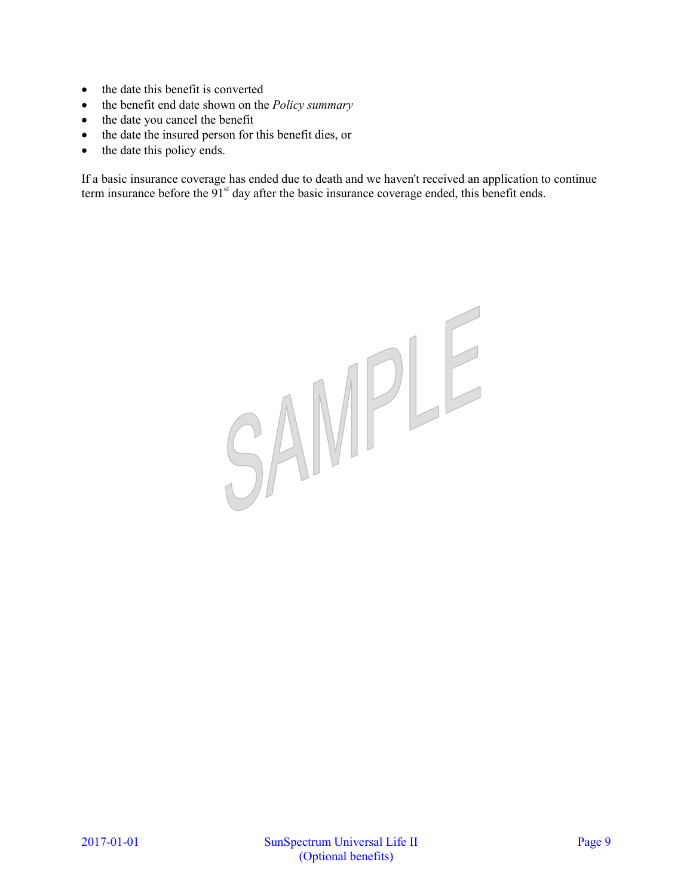- $\bullet$  the date this benefit is converted
- the benefit end date shown on the *Policy summary*
- the date you cancel the benefit
- the date the insured person for this benefit dies, or
- the date this policy ends.

If a basic insurance coverage has ended due to death and we haven't received an application to continue term insurance before the 91<sup>st</sup> day after the basic insurance coverage ended, this benefit ends.

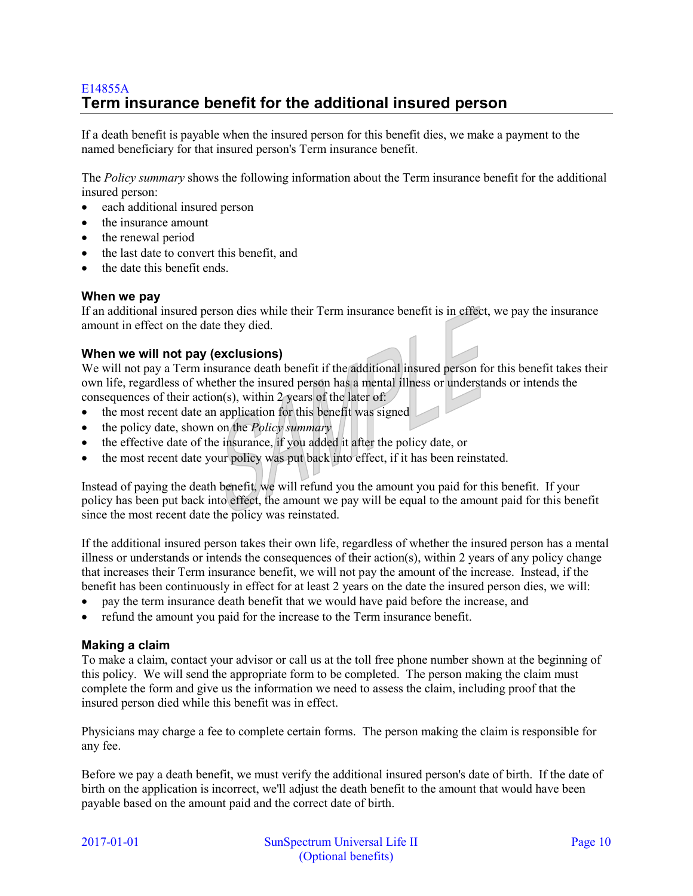# E14855A **Term insurance benefit for the additional insured person**

If a death benefit is payable when the insured person for this benefit dies, we make a payment to the named beneficiary for that insured person's Term insurance benefit.

The *Policy summary* shows the following information about the Term insurance benefit for the additional insured person:

- each additional insured person
- the insurance amount
- the renewal period
- the last date to convert this benefit, and
- the date this benefit ends.

### **When we pay**

If an additional insured person dies while their Term insurance benefit is in effect, we pay the insurance amount in effect on the date they died.

# **When we will not pay (exclusions)**

We will not pay a Term insurance death benefit if the additional insured person for this benefit takes their own life, regardless of whether the insured person has a mental illness or understands or intends the consequences of their action(s), within 2 years of the later of:

- the most recent date an application for this benefit was signed
- the policy date, shown on the *Policy summary*
- the effective date of the insurance, if you added it after the policy date, or
- the most recent date your policy was put back into effect, if it has been reinstated.

Instead of paying the death benefit, we will refund you the amount you paid for this benefit. If your policy has been put back into effect, the amount we pay will be equal to the amount paid for this benefit since the most recent date the policy was reinstated.

If the additional insured person takes their own life, regardless of whether the insured person has a mental illness or understands or intends the consequences of their action(s), within 2 years of any policy change that increases their Term insurance benefit, we will not pay the amount of the increase. Instead, if the benefit has been continuously in effect for at least 2 years on the date the insured person dies, we will:

- pay the term insurance death benefit that we would have paid before the increase, and
- refund the amount you paid for the increase to the Term insurance benefit.

### **Making a claim**

To make a claim, contact your advisor or call us at the toll free phone number shown at the beginning of this policy. We will send the appropriate form to be completed. The person making the claim must complete the form and give us the information we need to assess the claim, including proof that the insured person died while this benefit was in effect.

Physicians may charge a fee to complete certain forms. The person making the claim is responsible for any fee.

Before we pay a death benefit, we must verify the additional insured person's date of birth. If the date of birth on the application is incorrect, we'll adjust the death benefit to the amount that would have been payable based on the amount paid and the correct date of birth.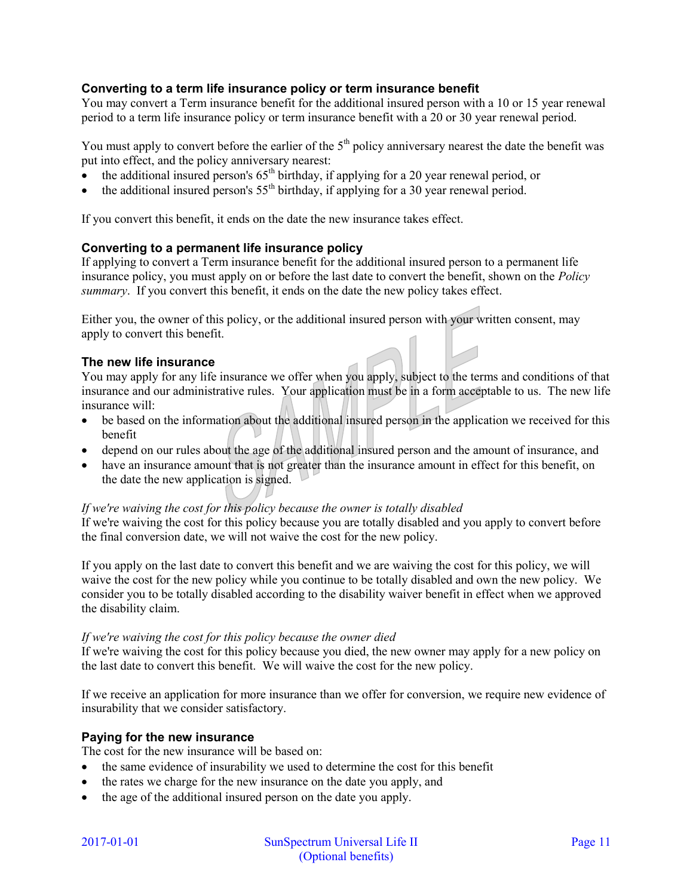# **Converting to a term life insurance policy or term insurance benefit**

You may convert a Term insurance benefit for the additional insured person with a 10 or 15 year renewal period to a term life insurance policy or term insurance benefit with a 20 or 30 year renewal period.

You must apply to convert before the earlier of the  $5<sup>th</sup>$  policy anniversary nearest the date the benefit was put into effect, and the policy anniversary nearest:

- $\bullet$  the additional insured person's 65<sup>th</sup> birthday, if applying for a 20 year renewal period, or
- the additional insured person's  $55<sup>th</sup>$  birthday, if applying for a 30 year renewal period.

If you convert this benefit, it ends on the date the new insurance takes effect.

### **Converting to a permanent life insurance policy**

If applying to convert a Term insurance benefit for the additional insured person to a permanent life insurance policy, you must apply on or before the last date to convert the benefit, shown on the *Policy summary*. If you convert this benefit, it ends on the date the new policy takes effect.

Either you, the owner of this policy, or the additional insured person with your written consent, may apply to convert this benefit.

# **The new life insurance**

You may apply for any life insurance we offer when you apply, subject to the terms and conditions of that insurance and our administrative rules. Your application must be in a form acceptable to us. The new life insurance will:

- be based on the information about the additional insured person in the application we received for this benefit
- depend on our rules about the age of the additional insured person and the amount of insurance, and
- have an insurance amount that is not greater than the insurance amount in effect for this benefit, on the date the new application is signed.

### *If we're waiving the cost for this policy because the owner is totally disabled*

If we're waiving the cost for this policy because you are totally disabled and you apply to convert before the final conversion date, we will not waive the cost for the new policy.

If you apply on the last date to convert this benefit and we are waiving the cost for this policy, we will waive the cost for the new policy while you continue to be totally disabled and own the new policy. We consider you to be totally disabled according to the disability waiver benefit in effect when we approved the disability claim.

### *If we're waiving the cost for this policy because the owner died*

If we're waiving the cost for this policy because you died, the new owner may apply for a new policy on the last date to convert this benefit. We will waive the cost for the new policy.

If we receive an application for more insurance than we offer for conversion, we require new evidence of insurability that we consider satisfactory.

### **Paying for the new insurance**

The cost for the new insurance will be based on:

- the same evidence of insurability we used to determine the cost for this benefit
- the rates we charge for the new insurance on the date you apply, and
- the age of the additional insured person on the date you apply.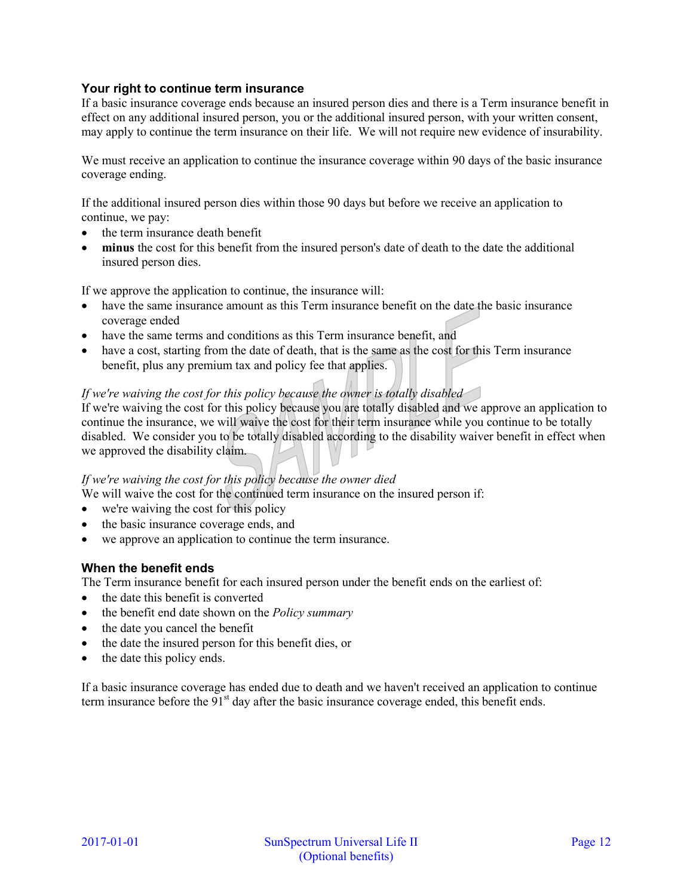# **Your right to continue term insurance**

If a basic insurance coverage ends because an insured person dies and there is a Term insurance benefit in effect on any additional insured person, you or the additional insured person, with your written consent, may apply to continue the term insurance on their life. We will not require new evidence of insurability.

We must receive an application to continue the insurance coverage within 90 days of the basic insurance coverage ending.

If the additional insured person dies within those 90 days but before we receive an application to continue, we pay:

- the term insurance death benefit
- **minus** the cost for this benefit from the insured person's date of death to the date the additional insured person dies.

If we approve the application to continue, the insurance will:

- have the same insurance amount as this Term insurance benefit on the date the basic insurance coverage ended
- have the same terms and conditions as this Term insurance benefit, and
- have a cost, starting from the date of death, that is the same as the cost for this Term insurance benefit, plus any premium tax and policy fee that applies.

# *If we're waiving the cost for this policy because the owner is totally disabled*

If we're waiving the cost for this policy because you are totally disabled and we approve an application to continue the insurance, we will waive the cost for their term insurance while you continue to be totally disabled. We consider you to be totally disabled according to the disability waiver benefit in effect when we approved the disability claim.

### *If we're waiving the cost for this policy because the owner died*

We will waive the cost for the continued term insurance on the insured person if:

- we're waiving the cost for this policy
- the basic insurance coverage ends, and
- we approve an application to continue the term insurance.

### **When the benefit ends**

The Term insurance benefit for each insured person under the benefit ends on the earliest of:

- the date this benefit is converted
- the benefit end date shown on the *Policy summary*
- the date you cancel the benefit
- the date the insured person for this benefit dies, or
- the date this policy ends.

If a basic insurance coverage has ended due to death and we haven't received an application to continue term insurance before the  $91<sup>st</sup>$  day after the basic insurance coverage ended, this benefit ends.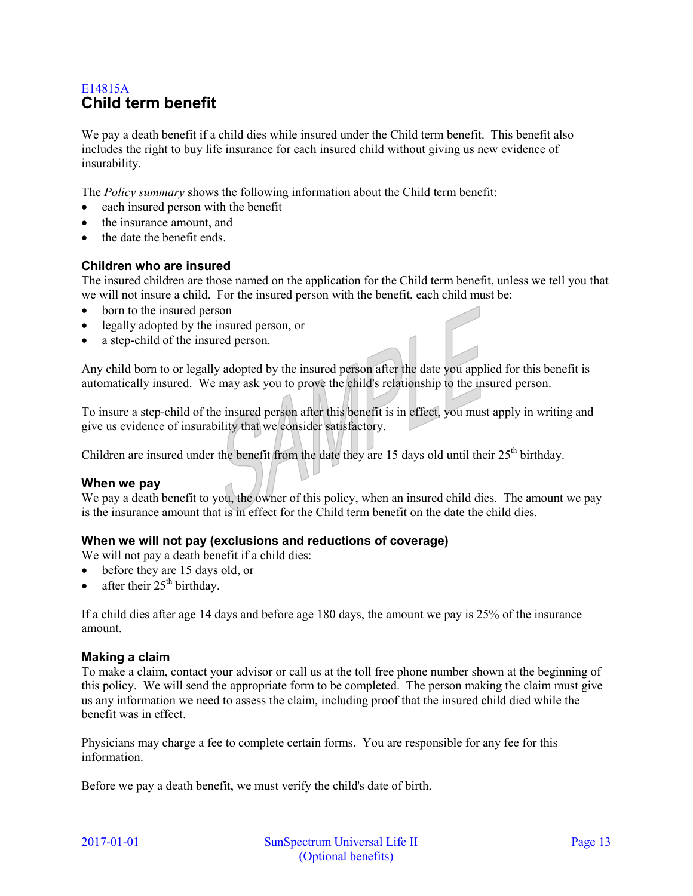# E14815A **Child term benefit**

We pay a death benefit if a child dies while insured under the Child term benefit. This benefit also includes the right to buy life insurance for each insured child without giving us new evidence of insurability.

The *Policy summary* shows the following information about the Child term benefit:

- each insured person with the benefit
- the insurance amount, and
- the date the benefit ends.

#### **Children who are insured**

The insured children are those named on the application for the Child term benefit, unless we tell you that we will not insure a child. For the insured person with the benefit, each child must be:

- born to the insured person
- legally adopted by the insured person, or
- a step-child of the insured person.

Any child born to or legally adopted by the insured person after the date you applied for this benefit is automatically insured. We may ask you to prove the child's relationship to the insured person.

To insure a step-child of the insured person after this benefit is in effect, you must apply in writing and give us evidence of insurability that we consider satisfactory.

Children are insured under the benefit from the date they are 15 days old until their 25<sup>th</sup> birthday.

#### **When we pay**

We pay a death benefit to you, the owner of this policy, when an insured child dies. The amount we pay is the insurance amount that is in effect for the Child term benefit on the date the child dies.

### **When we will not pay (exclusions and reductions of coverage)**

We will not pay a death benefit if a child dies:

- before they are 15 days old, or
- after their  $25<sup>th</sup>$  birthday.

If a child dies after age 14 days and before age 180 days, the amount we pay is 25% of the insurance amount.

#### **Making a claim**

To make a claim, contact your advisor or call us at the toll free phone number shown at the beginning of this policy. We will send the appropriate form to be completed. The person making the claim must give us any information we need to assess the claim, including proof that the insured child died while the benefit was in effect.

Physicians may charge a fee to complete certain forms. You are responsible for any fee for this information.

Before we pay a death benefit, we must verify the child's date of birth.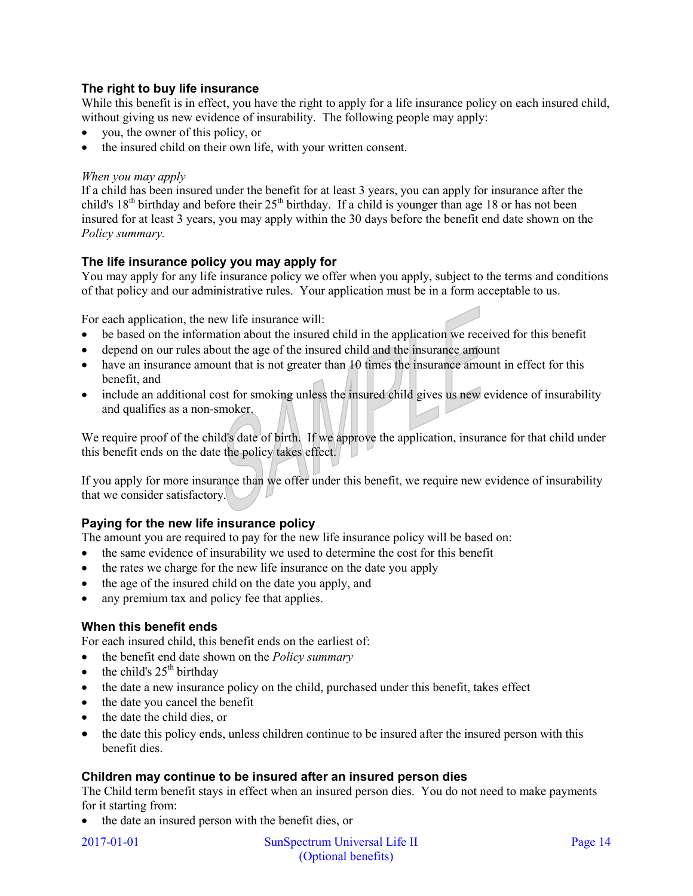# **The right to buy life insurance**

While this benefit is in effect, you have the right to apply for a life insurance policy on each insured child, without giving us new evidence of insurability. The following people may apply:

- you, the owner of this policy, or
- the insured child on their own life, with your written consent.

#### *When you may apply*

If a child has been insured under the benefit for at least 3 years, you can apply for insurance after the child's  $18<sup>th</sup>$  birthday and before their  $25<sup>th</sup>$  birthday. If a child is younger than age 18 or has not been insured for at least 3 years, you may apply within the 30 days before the benefit end date shown on the *Policy summary.*

# **The life insurance policy you may apply for**

You may apply for any life insurance policy we offer when you apply, subject to the terms and conditions of that policy and our administrative rules. Your application must be in a form acceptable to us.

For each application, the new life insurance will:

- be based on the information about the insured child in the application we received for this benefit
- depend on our rules about the age of the insured child and the insurance amount
- have an insurance amount that is not greater than 10 times the insurance amount in effect for this benefit, and
- include an additional cost for smoking unless the insured child gives us new evidence of insurability and qualifies as a non-smoker.

We require proof of the child's date of birth. If we approve the application, insurance for that child under this benefit ends on the date the policy takes effect.

If you apply for more insurance than we offer under this benefit, we require new evidence of insurability that we consider satisfactory.

# **Paying for the new life insurance policy**

The amount you are required to pay for the new life insurance policy will be based on:

- the same evidence of insurability we used to determine the cost for this benefit
- the rates we charge for the new life insurance on the date you apply
- the age of the insured child on the date you apply, and
- any premium tax and policy fee that applies.

### **When this benefit ends**

For each insured child, this benefit ends on the earliest of:

- the benefit end date shown on the *Policy summary*
- $\bullet$  the child's 25<sup>th</sup> birthday
- the date a new insurance policy on the child, purchased under this benefit, takes effect
- the date you cancel the benefit
- the date the child dies, or
- the date this policy ends, unless children continue to be insured after the insured person with this benefit dies.

### **Children may continue to be insured after an insured person dies**

The Child term benefit stays in effect when an insured person dies. You do not need to make payments for it starting from:

• the date an insured person with the benefit dies, or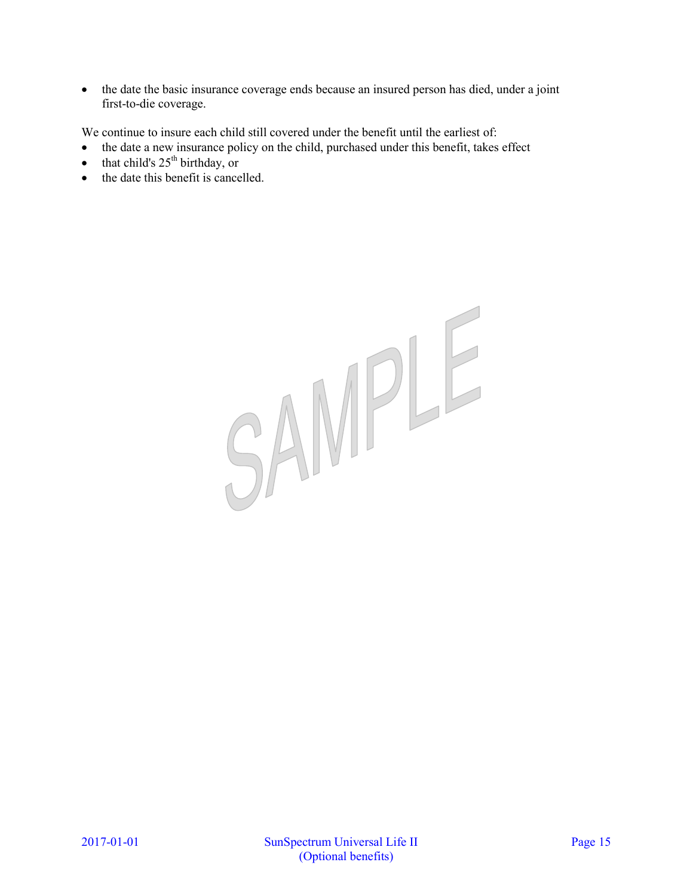• the date the basic insurance coverage ends because an insured person has died, under a joint first-to-die coverage.

We continue to insure each child still covered under the benefit until the earliest of:

- the date a new insurance policy on the child, purchased under this benefit, takes effect
- $\bullet$  that child's 25<sup>th</sup> birthday, or
- the date this benefit is cancelled.

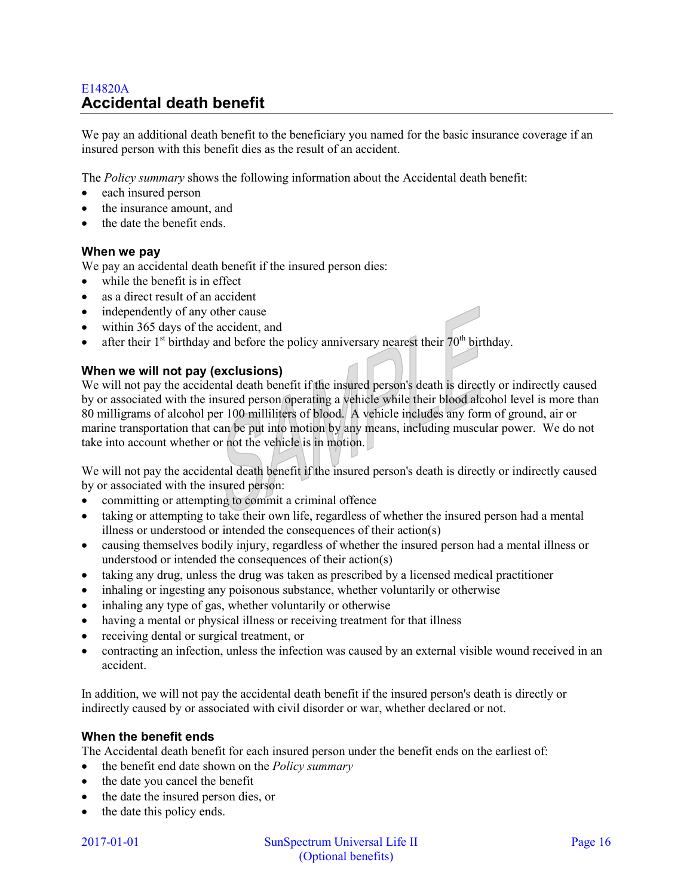# E14820A **Accidental death benefit**

We pay an additional death benefit to the beneficiary you named for the basic insurance coverage if an insured person with this benefit dies as the result of an accident.

The *Policy summary* shows the following information about the Accidental death benefit:

- each insured person
- the insurance amount, and
- the date the benefit ends.

#### **When we pay**

We pay an accidental death benefit if the insured person dies:

- while the benefit is in effect
- as a direct result of an accident
- independently of any other cause
- within 365 days of the accident, and
- after their  $1<sup>st</sup>$  birthday and before the policy anniversary nearest their  $70<sup>th</sup>$  birthday.

#### **When we will not pay (exclusions)**

We will not pay the accidental death benefit if the insured person's death is directly or indirectly caused by or associated with the insured person operating a vehicle while their blood alcohol level is more than 80 milligrams of alcohol per 100 milliliters of blood. A vehicle includes any form of ground, air or marine transportation that can be put into motion by any means, including muscular power. We do not take into account whether or not the vehicle is in motion.

We will not pay the accidental death benefit if the insured person's death is directly or indirectly caused by or associated with the insured person:

- committing or attempting to commit a criminal offence
- taking or attempting to take their own life, regardless of whether the insured person had a mental illness or understood or intended the consequences of their action(s)
- causing themselves bodily injury, regardless of whether the insured person had a mental illness or understood or intended the consequences of their action(s)
- taking any drug, unless the drug was taken as prescribed by a licensed medical practitioner
- inhaling or ingesting any poisonous substance, whether voluntarily or otherwise
- inhaling any type of gas, whether voluntarily or otherwise
- having a mental or physical illness or receiving treatment for that illness
- receiving dental or surgical treatment, or
- contracting an infection, unless the infection was caused by an external visible wound received in an accident.

In addition, we will not pay the accidental death benefit if the insured person's death is directly or indirectly caused by or associated with civil disorder or war, whether declared or not.

### **When the benefit ends**

The Accidental death benefit for each insured person under the benefit ends on the earliest of:

- the benefit end date shown on the *Policy summary*
- the date you cancel the benefit
- the date the insured person dies, or
- the date this policy ends.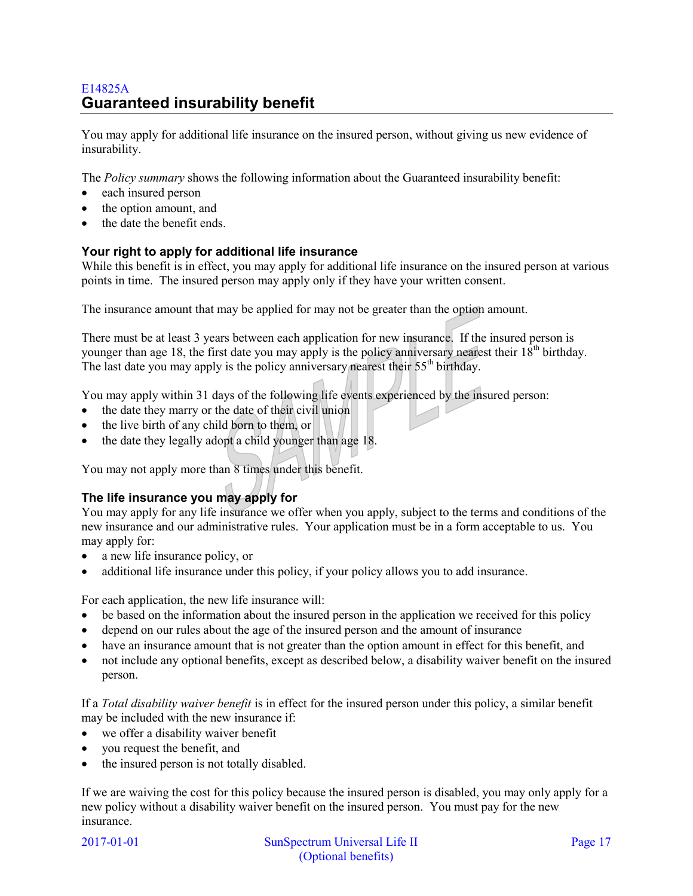# E14825A **Guaranteed insurability benefit**

You may apply for additional life insurance on the insured person, without giving us new evidence of insurability.

The *Policy summary* shows the following information about the Guaranteed insurability benefit:

- each insured person
- the option amount, and
- the date the benefit ends.

# **Your right to apply for additional life insurance**

While this benefit is in effect, you may apply for additional life insurance on the insured person at various points in time. The insured person may apply only if they have your written consent.

The insurance amount that may be applied for may not be greater than the option amount.

There must be at least 3 years between each application for new insurance. If the insured person is younger than age 18, the first date you may apply is the policy anniversary nearest their  $18<sup>th</sup>$  birthday. The last date you may apply is the policy anniversary nearest their  $55<sup>th</sup>$  birthday.

You may apply within 31 days of the following life events experienced by the insured person:

- the date they marry or the date of their civil union
- the live birth of any child born to them, or
- the date they legally adopt a child younger than age 18.

You may not apply more than 8 times under this benefit.

# **The life insurance you may apply for**

You may apply for any life insurance we offer when you apply, subject to the terms and conditions of the new insurance and our administrative rules. Your application must be in a form acceptable to us. You may apply for:

- a new life insurance policy, or
- additional life insurance under this policy, if your policy allows you to add insurance.

For each application, the new life insurance will:

- be based on the information about the insured person in the application we received for this policy
- depend on our rules about the age of the insured person and the amount of insurance
- have an insurance amount that is not greater than the option amount in effect for this benefit, and
- not include any optional benefits, except as described below, a disability waiver benefit on the insured person.

If a *Total disability waiver benefit* is in effect for the insured person under this policy, a similar benefit may be included with the new insurance if:

- we offer a disability waiver benefit
- you request the benefit, and
- the insured person is not totally disabled.

If we are waiving the cost for this policy because the insured person is disabled, you may only apply for a new policy without a disability waiver benefit on the insured person. You must pay for the new insurance.

2017-01-01 SunSpectrum Universal Life II Page 17 (Optional benefits)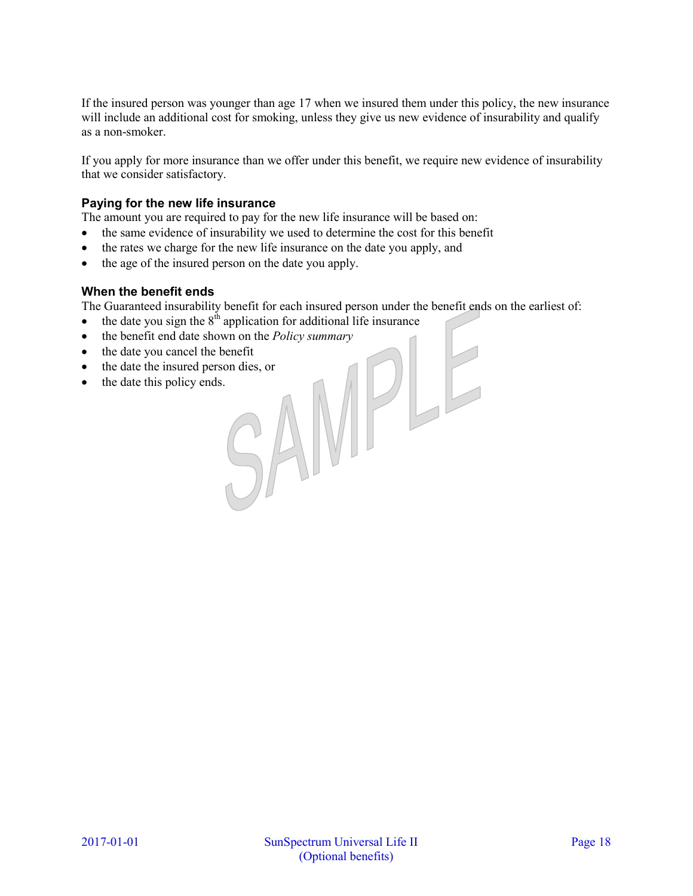If the insured person was younger than age 17 when we insured them under this policy, the new insurance will include an additional cost for smoking, unless they give us new evidence of insurability and qualify as a non-smoker.

If you apply for more insurance than we offer under this benefit, we require new evidence of insurability that we consider satisfactory.

# **Paying for the new life insurance**

The amount you are required to pay for the new life insurance will be based on:

- the same evidence of insurability we used to determine the cost for this benefit
- the rates we charge for the new life insurance on the date you apply, and
- the age of the insured person on the date you apply.

### **When the benefit ends**

The Guaranteed insurability benefit for each insured person under the benefit ends on the earliest of:

- $\bullet$  the date you sign the  $8<sup>th</sup>$  application for additional life insurance
- the benefit end date shown on the *Policy summary*<br>• the date the insured person dies, or<br>• the date this policy ends.
- the date you cancel the benefit
- the date the insured person dies, or
- the date this policy ends.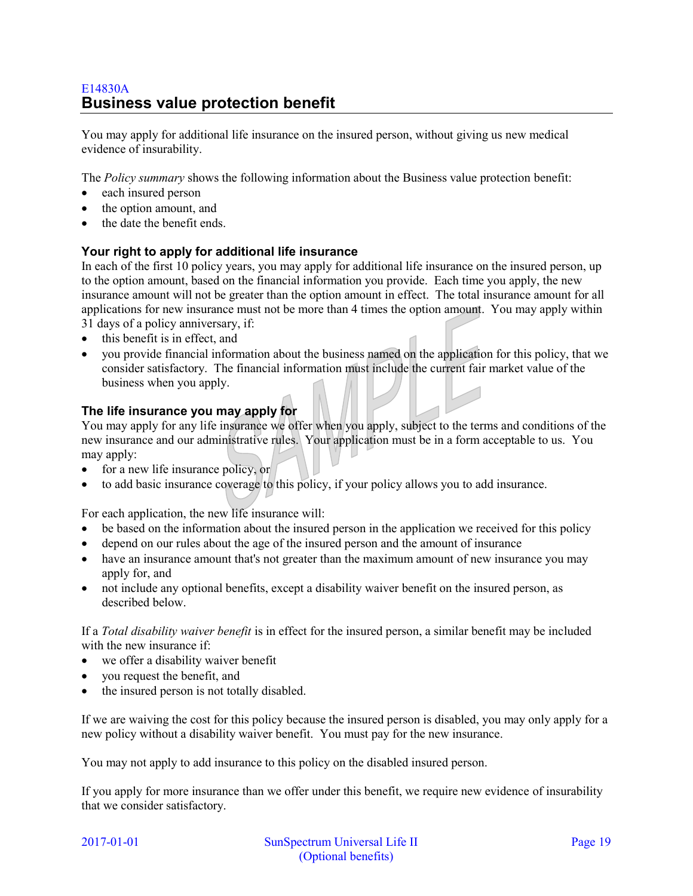# E14830A **Business value protection benefit**

You may apply for additional life insurance on the insured person, without giving us new medical evidence of insurability.

The *Policy summary* shows the following information about the Business value protection benefit:

- each insured person
- the option amount, and
- the date the benefit ends.

# **Your right to apply for additional life insurance**

In each of the first 10 policy years, you may apply for additional life insurance on the insured person, up to the option amount, based on the financial information you provide. Each time you apply, the new insurance amount will not be greater than the option amount in effect. The total insurance amount for all applications for new insurance must not be more than 4 times the option amount. You may apply within 31 days of a policy anniversary, if:

- this benefit is in effect, and
- you provide financial information about the business named on the application for this policy, that we consider satisfactory. The financial information must include the current fair market value of the business when you apply.

# **The life insurance you may apply for**

You may apply for any life insurance we offer when you apply, subject to the terms and conditions of the new insurance and our administrative rules. Your application must be in a form acceptable to us. You may apply:

- $\bullet$  for a new life insurance policy, or
- to add basic insurance coverage to this policy, if your policy allows you to add insurance.

For each application, the new life insurance will:

- be based on the information about the insured person in the application we received for this policy
- depend on our rules about the age of the insured person and the amount of insurance
- have an insurance amount that's not greater than the maximum amount of new insurance you may apply for, and
- not include any optional benefits, except a disability waiver benefit on the insured person, as described below.

If a *Total disability waiver benefit* is in effect for the insured person, a similar benefit may be included with the new insurance if:

- we offer a disability waiver benefit
- vou request the benefit, and
- the insured person is not totally disabled.

If we are waiving the cost for this policy because the insured person is disabled, you may only apply for a new policy without a disability waiver benefit. You must pay for the new insurance.

You may not apply to add insurance to this policy on the disabled insured person.

If you apply for more insurance than we offer under this benefit, we require new evidence of insurability that we consider satisfactory.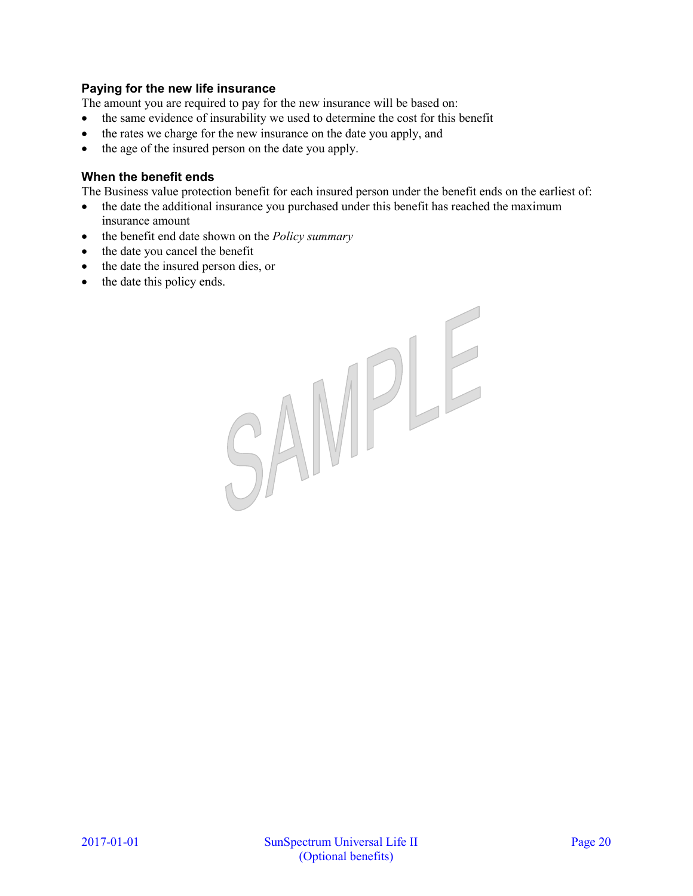# **Paying for the new life insurance**

The amount you are required to pay for the new insurance will be based on:

- the same evidence of insurability we used to determine the cost for this benefit
- the rates we charge for the new insurance on the date you apply, and
- the age of the insured person on the date you apply.

# **When the benefit ends**

The Business value protection benefit for each insured person under the benefit ends on the earliest of:

- the date the additional insurance you purchased under this benefit has reached the maximum insurance amount
- the benefit end date shown on the *Policy summary*
- the date you cancel the benefit
- the date the insured person dies, or
- the date this policy ends.

SAMPLE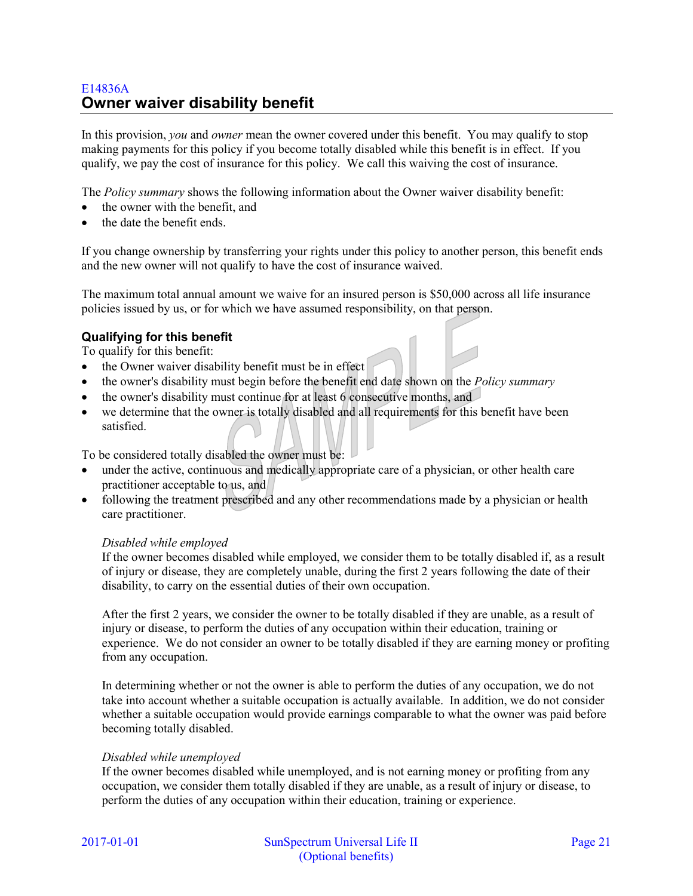# E14836A **Owner waiver disability benefit**

In this provision, *you* and *owner* mean the owner covered under this benefit. You may qualify to stop making payments for this policy if you become totally disabled while this benefit is in effect. If you qualify, we pay the cost of insurance for this policy. We call this waiving the cost of insurance.

The *Policy summary* shows the following information about the Owner waiver disability benefit:

- the owner with the benefit, and
- the date the benefit ends.

If you change ownership by transferring your rights under this policy to another person, this benefit ends and the new owner will not qualify to have the cost of insurance waived.

The maximum total annual amount we waive for an insured person is \$50,000 across all life insurance policies issued by us, or for which we have assumed responsibility, on that person.

# **Qualifying for this benefit**

To qualify for this benefit:

- the Owner waiver disability benefit must be in effect
- the owner's disability must begin before the benefit end date shown on the *Policy summary*
- the owner's disability must continue for at least 6 consecutive months, and
- we determine that the owner is totally disabled and all requirements for this benefit have been satisfied.

To be considered totally disabled the owner must be:

- under the active, continuous and medically appropriate care of a physician, or other health care practitioner acceptable to us, and
- following the treatment prescribed and any other recommendations made by a physician or health care practitioner.

#### *Disabled while employed*

If the owner becomes disabled while employed, we consider them to be totally disabled if, as a result of injury or disease, they are completely unable, during the first 2 years following the date of their disability, to carry on the essential duties of their own occupation.

After the first 2 years, we consider the owner to be totally disabled if they are unable, as a result of injury or disease, to perform the duties of any occupation within their education, training or experience. We do not consider an owner to be totally disabled if they are earning money or profiting from any occupation.

In determining whether or not the owner is able to perform the duties of any occupation, we do not take into account whether a suitable occupation is actually available. In addition, we do not consider whether a suitable occupation would provide earnings comparable to what the owner was paid before becoming totally disabled.

#### *Disabled while unemployed*

If the owner becomes disabled while unemployed, and is not earning money or profiting from any occupation, we consider them totally disabled if they are unable, as a result of injury or disease, to perform the duties of any occupation within their education, training or experience.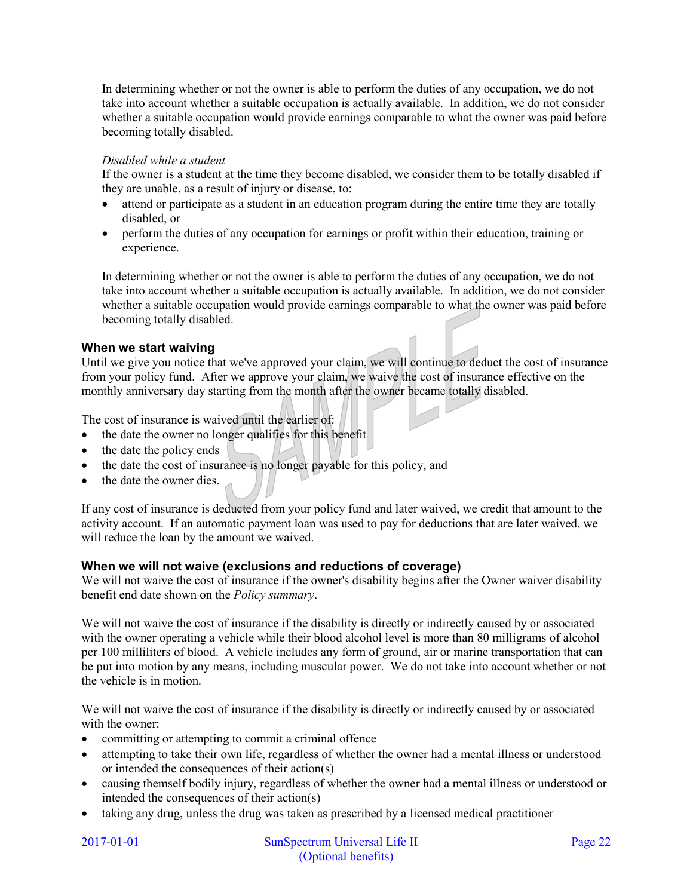In determining whether or not the owner is able to perform the duties of any occupation, we do not take into account whether a suitable occupation is actually available. In addition, we do not consider whether a suitable occupation would provide earnings comparable to what the owner was paid before becoming totally disabled.

## *Disabled while a student*

If the owner is a student at the time they become disabled, we consider them to be totally disabled if they are unable, as a result of injury or disease, to:

- attend or participate as a student in an education program during the entire time they are totally disabled, or
- perform the duties of any occupation for earnings or profit within their education, training or experience.

In determining whether or not the owner is able to perform the duties of any occupation, we do not take into account whether a suitable occupation is actually available. In addition, we do not consider whether a suitable occupation would provide earnings comparable to what the owner was paid before becoming totally disabled.

# **When we start waiving**

Until we give you notice that we've approved your claim, we will continue to deduct the cost of insurance from your policy fund. After we approve your claim, we waive the cost of insurance effective on the monthly anniversary day starting from the month after the owner became totally disabled.

The cost of insurance is waived until the earlier of:

- the date the owner no longer qualifies for this benefit
- $\bullet$  the date the policy ends
- the date the cost of insurance is no longer payable for this policy, and
- the date the owner dies.

If any cost of insurance is deducted from your policy fund and later waived, we credit that amount to the activity account. If an automatic payment loan was used to pay for deductions that are later waived, we will reduce the loan by the amount we waived.

### **When we will not waive (exclusions and reductions of coverage)**

We will not waive the cost of insurance if the owner's disability begins after the Owner waiver disability benefit end date shown on the *Policy summary*.

We will not waive the cost of insurance if the disability is directly or indirectly caused by or associated with the owner operating a vehicle while their blood alcohol level is more than 80 milligrams of alcohol per 100 milliliters of blood. A vehicle includes any form of ground, air or marine transportation that can be put into motion by any means, including muscular power. We do not take into account whether or not the vehicle is in motion.

We will not waive the cost of insurance if the disability is directly or indirectly caused by or associated with the owner:

- committing or attempting to commit a criminal offence
- attempting to take their own life, regardless of whether the owner had a mental illness or understood or intended the consequences of their action(s)
- causing themself bodily injury, regardless of whether the owner had a mental illness or understood or intended the consequences of their action(s)
- taking any drug, unless the drug was taken as prescribed by a licensed medical practitioner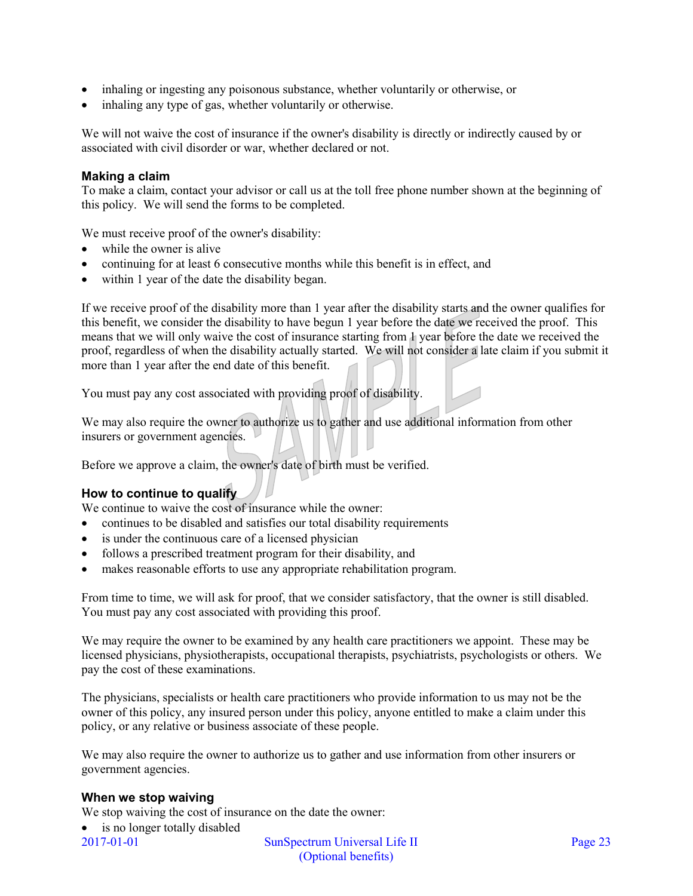- inhaling or ingesting any poisonous substance, whether voluntarily or otherwise, or
- inhaling any type of gas, whether voluntarily or otherwise.

We will not waive the cost of insurance if the owner's disability is directly or indirectly caused by or associated with civil disorder or war, whether declared or not.

# **Making a claim**

To make a claim, contact your advisor or call us at the toll free phone number shown at the beginning of this policy. We will send the forms to be completed.

We must receive proof of the owner's disability:

- while the owner is alive
- continuing for at least 6 consecutive months while this benefit is in effect, and
- within 1 year of the date the disability began.

If we receive proof of the disability more than 1 year after the disability starts and the owner qualifies for this benefit, we consider the disability to have begun 1 year before the date we received the proof. This means that we will only waive the cost of insurance starting from 1 year before the date we received the proof, regardless of when the disability actually started. We will not consider a late claim if you submit it more than 1 year after the end date of this benefit.

You must pay any cost associated with providing proof of disability.

We may also require the owner to authorize us to gather and use additional information from other insurers or government agencies.

Before we approve a claim, the owner's date of birth must be verified.

# **How to continue to qualify**

We continue to waive the cost of insurance while the owner:

- continues to be disabled and satisfies our total disability requirements
- is under the continuous care of a licensed physician
- follows a prescribed treatment program for their disability, and
- makes reasonable efforts to use any appropriate rehabilitation program.

From time to time, we will ask for proof, that we consider satisfactory, that the owner is still disabled. You must pay any cost associated with providing this proof.

We may require the owner to be examined by any health care practitioners we appoint. These may be licensed physicians, physiotherapists, occupational therapists, psychiatrists, psychologists or others. We pay the cost of these examinations.

The physicians, specialists or health care practitioners who provide information to us may not be the owner of this policy, any insured person under this policy, anyone entitled to make a claim under this policy, or any relative or business associate of these people.

We may also require the owner to authorize us to gather and use information from other insurers or government agencies.

### **When we stop waiving**

We stop waiving the cost of insurance on the date the owner:

2017-01-01 SunSpectrum Universal Life II Page 23 • is no longer totally disabled

(Optional benefits)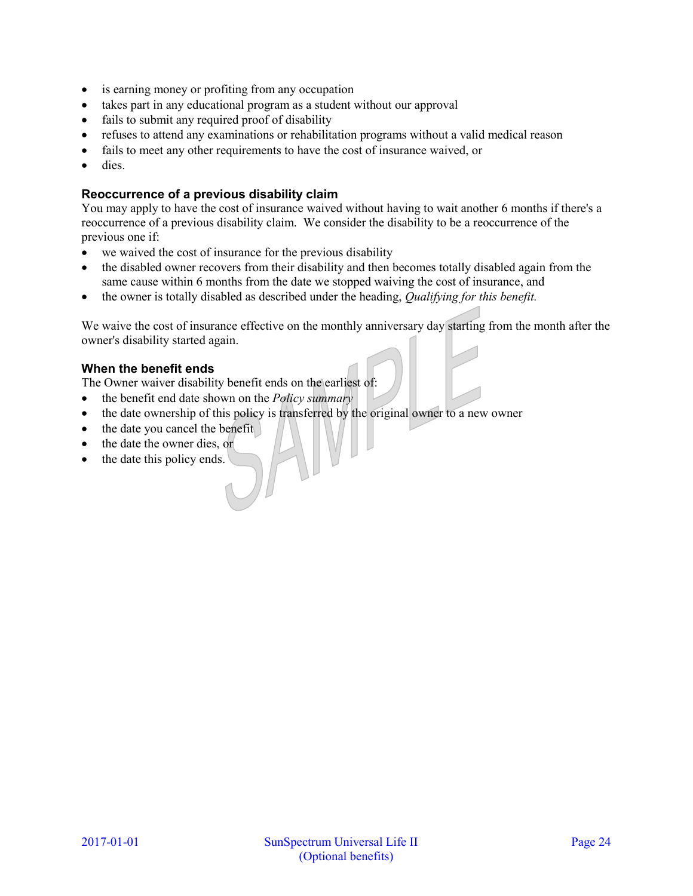- is earning money or profiting from any occupation
- takes part in any educational program as a student without our approval
- fails to submit any required proof of disability
- refuses to attend any examinations or rehabilitation programs without a valid medical reason
- fails to meet any other requirements to have the cost of insurance waived, or
- dies.

# **Reoccurrence of a previous disability claim**

You may apply to have the cost of insurance waived without having to wait another 6 months if there's a reoccurrence of a previous disability claim. We consider the disability to be a reoccurrence of the previous one if:

- we waived the cost of insurance for the previous disability
- the disabled owner recovers from their disability and then becomes totally disabled again from the same cause within 6 months from the date we stopped waiving the cost of insurance, and
- the owner is totally disabled as described under the heading, *Qualifying for this benefit.*

We waive the cost of insurance effective on the monthly anniversary day starting from the month after the owner's disability started again.

# **When the benefit ends**

The Owner waiver disability benefit ends on the earliest of:

- the benefit end date shown on the *Policy summary*
- the date ownership of this policy is transferred by the original owner to a new owner
- the date you cancel the benefit
- the date the owner dies, or
- the date this policy ends.